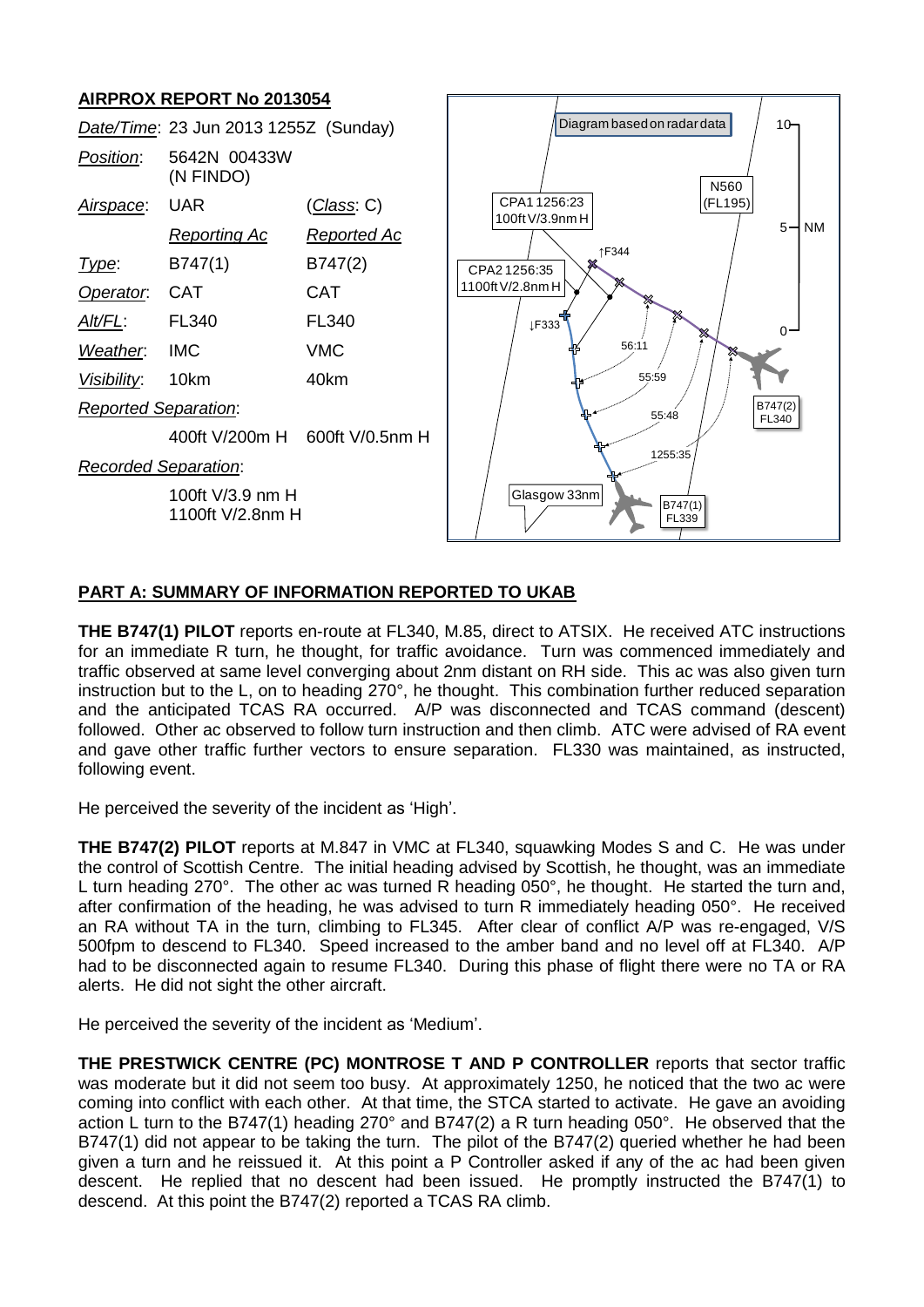# **AIRPROX REPORT No 2013054**



## **PART A: SUMMARY OF INFORMATION REPORTED TO UKAB**

**THE B747(1) PILOT** reports en-route at FL340, M.85, direct to ATSIX. He received ATC instructions for an immediate R turn, he thought, for traffic avoidance. Turn was commenced immediately and traffic observed at same level converging about 2nm distant on RH side. This ac was also given turn instruction but to the L, on to heading 270°, he thought. This combination further reduced separation and the anticipated TCAS RA occurred. A/P was disconnected and TCAS command (descent) followed. Other ac observed to follow turn instruction and then climb. ATC were advised of RA event and gave other traffic further vectors to ensure separation. FL330 was maintained, as instructed, following event.

He perceived the severity of the incident as 'High'.

**THE B747(2) PILOT** reports at M.847 in VMC at FL340, squawking Modes S and C. He was under the control of Scottish Centre. The initial heading advised by Scottish, he thought, was an immediate L turn heading 270°. The other ac was turned R heading 050°, he thought. He started the turn and, after confirmation of the heading, he was advised to turn R immediately heading 050°. He received an RA without TA in the turn, climbing to FL345. After clear of conflict A/P was re-engaged, V/S 500fpm to descend to FL340. Speed increased to the amber band and no level off at FL340. A/P had to be disconnected again to resume FL340. During this phase of flight there were no TA or RA alerts. He did not sight the other aircraft.

He perceived the severity of the incident as 'Medium'.

**THE PRESTWICK CENTRE (PC) MONTROSE T AND P CONTROLLER** reports that sector traffic was moderate but it did not seem too busy. At approximately 1250, he noticed that the two ac were coming into conflict with each other. At that time, the STCA started to activate. He gave an avoiding action L turn to the B747(1) heading 270° and B747(2) a R turn heading 050°. He observed that the B747(1) did not appear to be taking the turn. The pilot of the B747(2) queried whether he had been given a turn and he reissued it. At this point a P Controller asked if any of the ac had been given descent. He replied that no descent had been issued. He promptly instructed the B747(1) to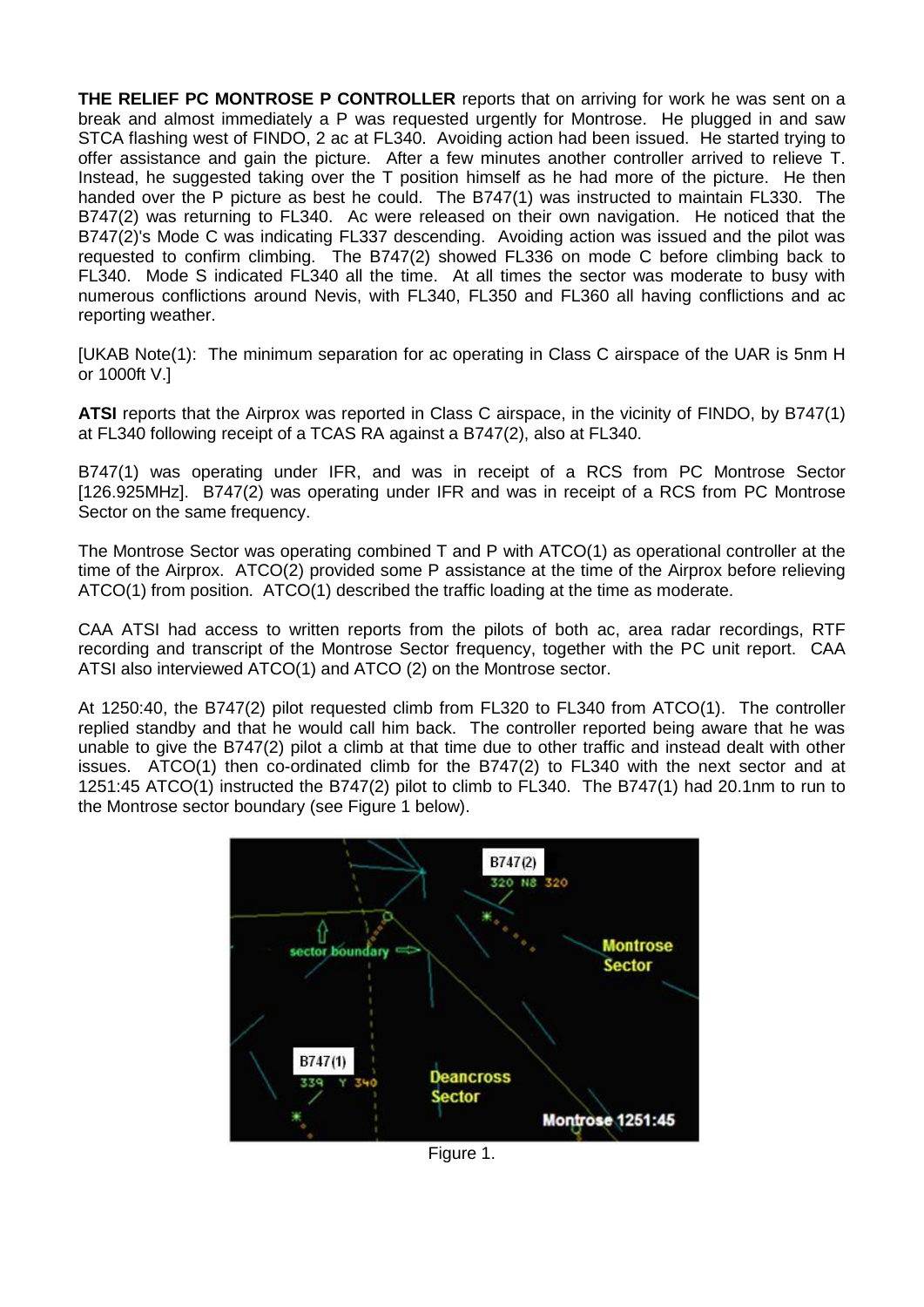**THE RELIEF PC MONTROSE P CONTROLLER** reports that on arriving for work he was sent on a break and almost immediately a P was requested urgently for Montrose. He plugged in and saw STCA flashing west of FINDO, 2 ac at FL340. Avoiding action had been issued. He started trying to offer assistance and gain the picture. After a few minutes another controller arrived to relieve T. Instead, he suggested taking over the T position himself as he had more of the picture. He then handed over the P picture as best he could. The B747(1) was instructed to maintain FL330. The B747(2) was returning to FL340. Ac were released on their own navigation. He noticed that the B747(2)'s Mode C was indicating FL337 descending. Avoiding action was issued and the pilot was requested to confirm climbing. The B747(2) showed FL336 on mode C before climbing back to FL340. Mode S indicated FL340 all the time. At all times the sector was moderate to busy with numerous conflictions around Nevis, with FL340, FL350 and FL360 all having conflictions and ac reporting weather.

[UKAB Note(1): The minimum separation for ac operating in Class C airspace of the UAR is 5nm H or 1000ft V.]

**ATSI** reports that the Airprox was reported in Class C airspace, in the vicinity of FINDO, by B747(1) at FL340 following receipt of a TCAS RA against a B747(2), also at FL340.

B747(1) was operating under IFR, and was in receipt of a RCS from PC Montrose Sector [126.925MHz]. B747(2) was operating under IFR and was in receipt of a RCS from PC Montrose Sector on the same frequency.

The Montrose Sector was operating combined T and P with ATCO(1) as operational controller at the time of the Airprox. ATCO(2) provided some P assistance at the time of the Airprox before relieving ATCO(1) from position. ATCO(1) described the traffic loading at the time as moderate.

CAA ATSI had access to written reports from the pilots of both ac, area radar recordings, RTF recording and transcript of the Montrose Sector frequency, together with the PC unit report. CAA ATSI also interviewed ATCO(1) and ATCO (2) on the Montrose sector.

At 1250:40, the B747(2) pilot requested climb from FL320 to FL340 from ATCO(1). The controller replied standby and that he would call him back. The controller reported being aware that he was unable to give the B747(2) pilot a climb at that time due to other traffic and instead dealt with other issues. ATCO(1) then co-ordinated climb for the B747(2) to FL340 with the next sector and at 1251:45 ATCO(1) instructed the B747(2) pilot to climb to FL340. The B747(1) had 20.1nm to run to the Montrose sector boundary (see Figure 1 below).



Figure 1.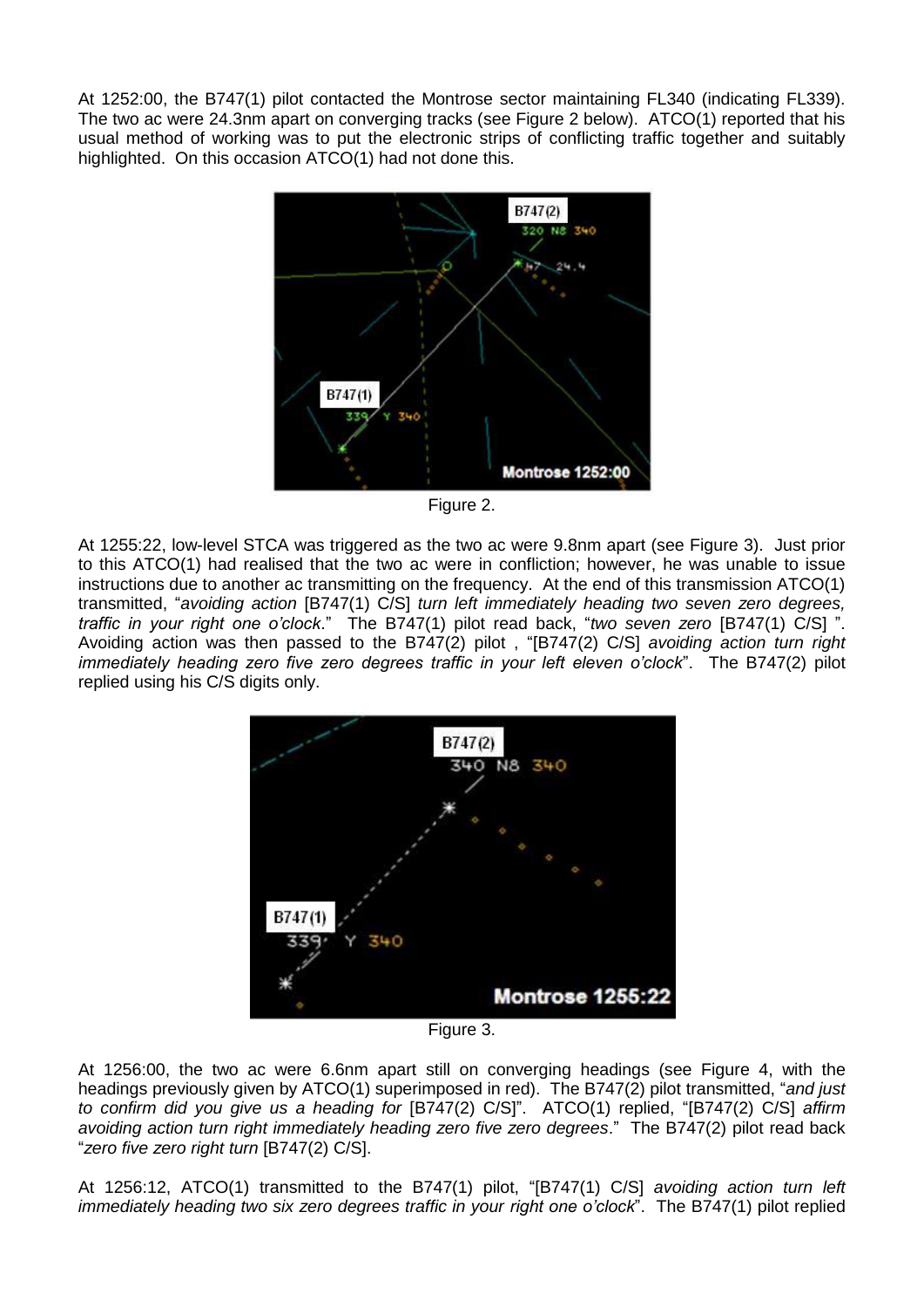At 1252:00, the B747(1) pilot contacted the Montrose sector maintaining FL340 (indicating FL339). The two ac were 24.3nm apart on converging tracks (see Figure 2 below). ATCO(1) reported that his usual method of working was to put the electronic strips of conflicting traffic together and suitably highlighted. On this occasion ATCO(1) had not done this.



Figure 2.

At 1255:22, low-level STCA was triggered as the two ac were 9.8nm apart (see Figure 3). Just prior to this ATCO(1) had realised that the two ac were in confliction; however, he was unable to issue instructions due to another ac transmitting on the frequency. At the end of this transmission ATCO(1) transmitted, "*avoiding action* [B747(1) C/S] *turn left immediately heading two seven zero degrees, traffic in your right one o'clock*." The B747(1) pilot read back, "*two seven zero* [B747(1) C/S] ". Avoiding action was then passed to the B747(2) pilot , "[B747(2) C/S] *avoiding action turn right immediately heading zero five zero degrees traffic in your left eleven o'clock*". The B747(2) pilot replied using his C/S digits only.



Figure 3.

At 1256:00, the two ac were 6.6nm apart still on converging headings (see Figure 4, with the headings previously given by ATCO(1) superimposed in red). The B747(2) pilot transmitted, "*and just to confirm did you give us a heading for* [B747(2) C/S]". ATCO(1) replied, "[B747(2) C/S] *affirm avoiding action turn right immediately heading zero five zero degrees*." The B747(2) pilot read back "*zero five zero right turn* [B747(2) C/S].

At 1256:12, ATCO(1) transmitted to the B747(1) pilot, "[B747(1) C/S] *avoiding action turn left immediately heading two six zero degrees traffic in your right one o'clock*". The B747(1) pilot replied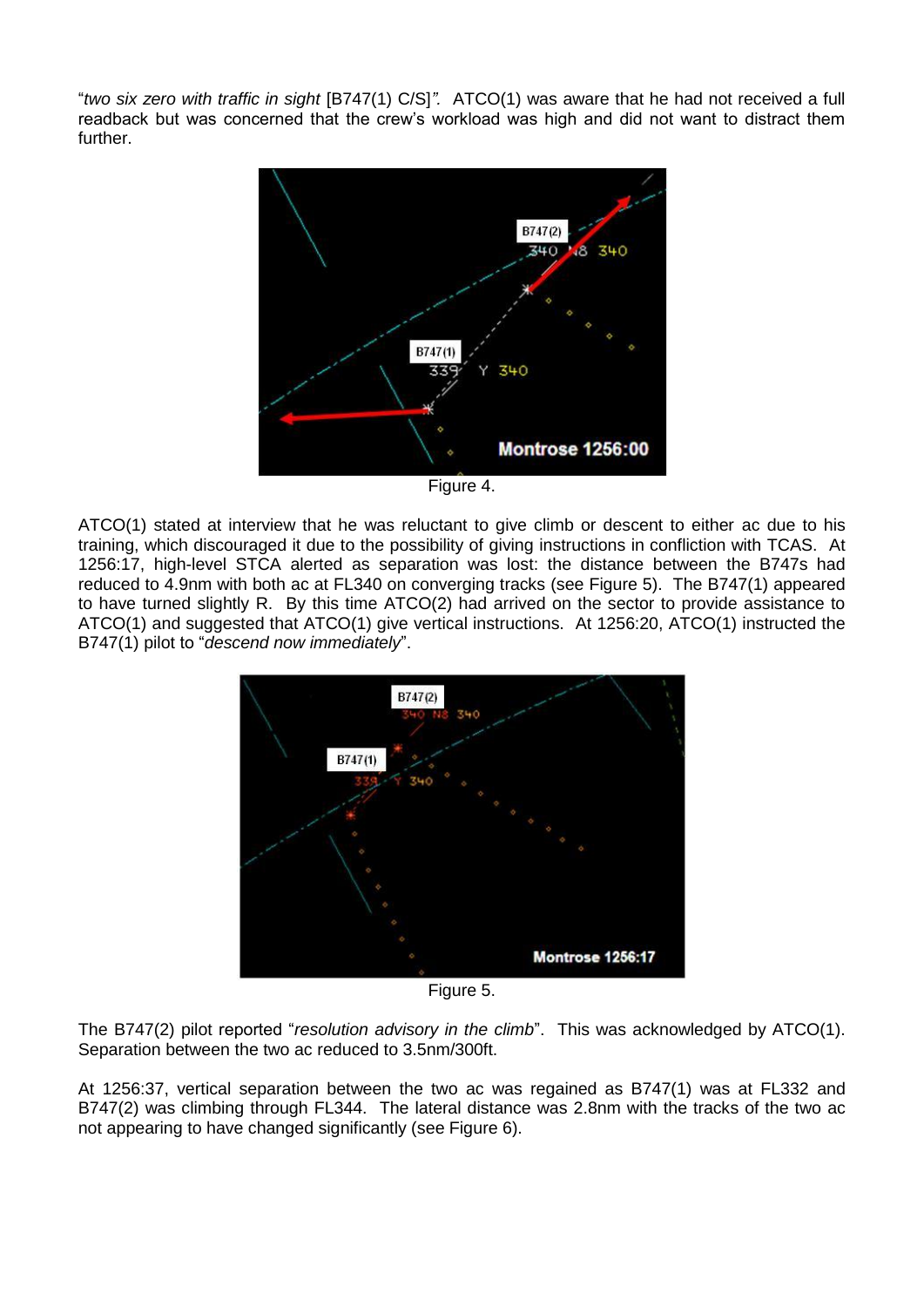"*two six zero with traffic in sight* [B747(1) C/S]*".* ATCO(1) was aware that he had not received a full readback but was concerned that the crew's workload was high and did not want to distract them further.



Figure 4.

ATCO(1) stated at interview that he was reluctant to give climb or descent to either ac due to his training, which discouraged it due to the possibility of giving instructions in confliction with TCAS. At 1256:17, high-level STCA alerted as separation was lost: the distance between the B747s had reduced to 4.9nm with both ac at FL340 on converging tracks (see Figure 5). The B747(1) appeared to have turned slightly R. By this time ATCO(2) had arrived on the sector to provide assistance to ATCO(1) and suggested that ATCO(1) give vertical instructions. At 1256:20, ATCO(1) instructed the B747(1) pilot to "*descend now immediately*".



Figure 5.

The B747(2) pilot reported "*resolution advisory in the climb*". This was acknowledged by ATCO(1). Separation between the two ac reduced to 3.5nm/300ft.

At 1256:37, vertical separation between the two ac was regained as B747(1) was at FL332 and B747(2) was climbing through FL344. The lateral distance was 2.8nm with the tracks of the two ac not appearing to have changed significantly (see Figure 6).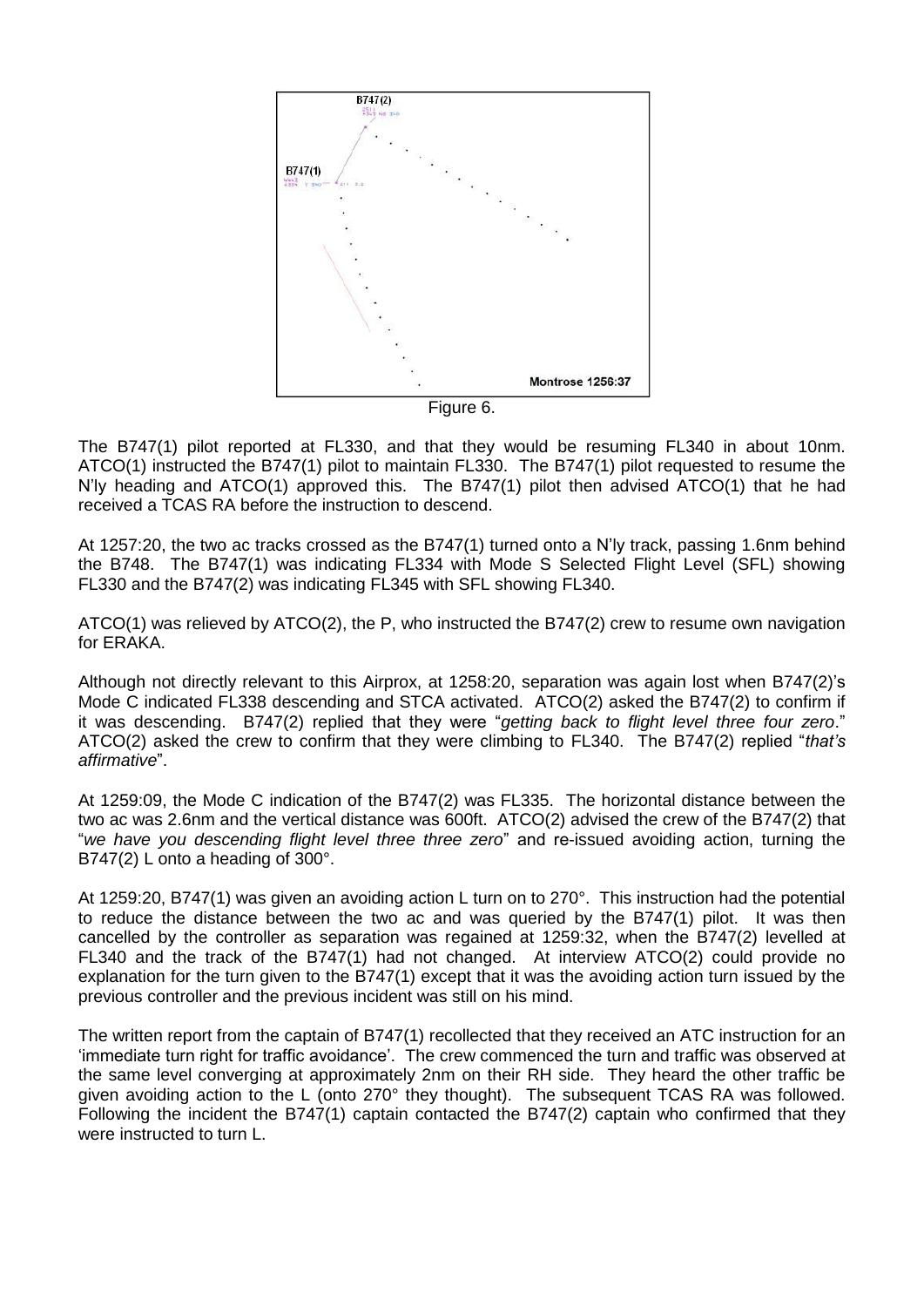

Figure 6.

The B747(1) pilot reported at FL330, and that they would be resuming FL340 in about 10nm. ATCO(1) instructed the B747(1) pilot to maintain FL330. The B747(1) pilot requested to resume the N'ly heading and ATCO(1) approved this. The B747(1) pilot then advised ATCO(1) that he had received a TCAS RA before the instruction to descend.

At 1257:20, the two ac tracks crossed as the B747(1) turned onto a N'ly track, passing 1.6nm behind the B748. The B747(1) was indicating FL334 with Mode S Selected Flight Level (SFL) showing FL330 and the B747(2) was indicating FL345 with SFL showing FL340.

ATCO(1) was relieved by ATCO(2), the P, who instructed the B747(2) crew to resume own navigation for ERAKA.

Although not directly relevant to this Airprox, at 1258:20, separation was again lost when B747(2)'s Mode C indicated FL338 descending and STCA activated. ATCO(2) asked the B747(2) to confirm if it was descending. B747(2) replied that they were "*getting back to flight level three four zero*." ATCO(2) asked the crew to confirm that they were climbing to FL340. The B747(2) replied "*that's affirmative*".

At 1259:09, the Mode C indication of the B747(2) was FL335. The horizontal distance between the two ac was 2.6nm and the vertical distance was 600ft. ATCO(2) advised the crew of the B747(2) that "*we have you descending flight level three three zero*" and re-issued avoiding action, turning the B747(2) L onto a heading of 300°.

At 1259:20, B747(1) was given an avoiding action L turn on to 270°. This instruction had the potential to reduce the distance between the two ac and was queried by the B747(1) pilot. It was then cancelled by the controller as separation was regained at 1259:32, when the B747(2) levelled at FL340 and the track of the B747(1) had not changed. At interview ATCO(2) could provide no explanation for the turn given to the B747(1) except that it was the avoiding action turn issued by the previous controller and the previous incident was still on his mind.

The written report from the captain of B747(1) recollected that they received an ATC instruction for an 'immediate turn right for traffic avoidance'. The crew commenced the turn and traffic was observed at the same level converging at approximately 2nm on their RH side. They heard the other traffic be given avoiding action to the L (onto 270° they thought). The subsequent TCAS RA was followed. Following the incident the B747(1) captain contacted the B747(2) captain who confirmed that they were instructed to turn L.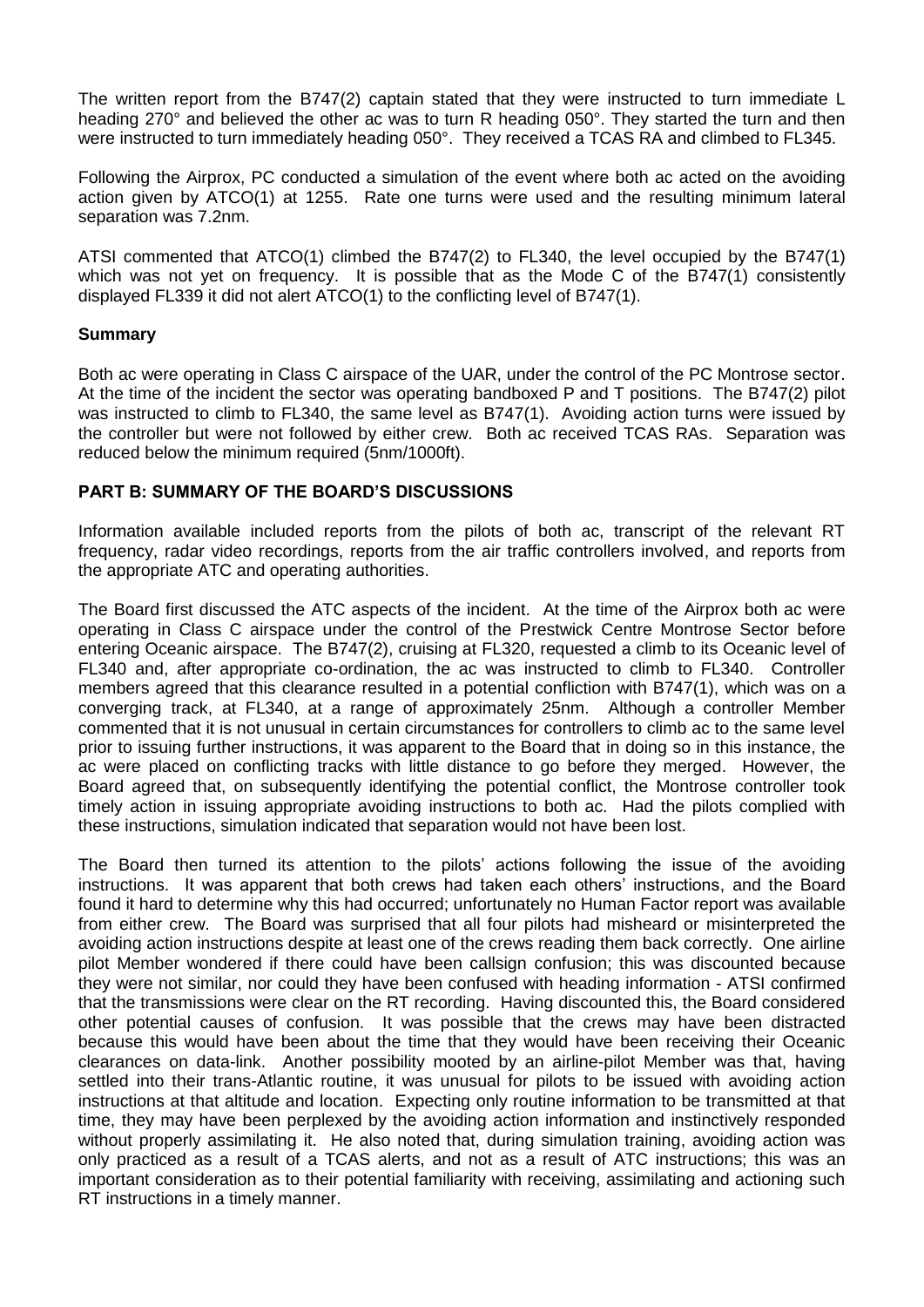The written report from the B747(2) captain stated that they were instructed to turn immediate L heading 270° and believed the other ac was to turn R heading 050°. They started the turn and then were instructed to turn immediately heading 050°. They received a TCAS RA and climbed to FL345.

Following the Airprox, PC conducted a simulation of the event where both ac acted on the avoiding action given by ATCO(1) at 1255. Rate one turns were used and the resulting minimum lateral separation was 7.2nm.

ATSI commented that ATCO(1) climbed the B747(2) to FL340, the level occupied by the B747(1) which was not yet on frequency. It is possible that as the Mode C of the B747(1) consistently displayed FL339 it did not alert ATCO(1) to the conflicting level of B747(1).

## **Summary**

Both ac were operating in Class C airspace of the UAR, under the control of the PC Montrose sector. At the time of the incident the sector was operating bandboxed P and T positions. The B747(2) pilot was instructed to climb to FL340, the same level as B747(1). Avoiding action turns were issued by the controller but were not followed by either crew. Both ac received TCAS RAs. Separation was reduced below the minimum required (5nm/1000ft).

## **PART B: SUMMARY OF THE BOARD'S DISCUSSIONS**

Information available included reports from the pilots of both ac, transcript of the relevant RT frequency, radar video recordings, reports from the air traffic controllers involved, and reports from the appropriate ATC and operating authorities.

The Board first discussed the ATC aspects of the incident. At the time of the Airprox both ac were operating in Class C airspace under the control of the Prestwick Centre Montrose Sector before entering Oceanic airspace. The B747(2), cruising at FL320, requested a climb to its Oceanic level of FL340 and, after appropriate co-ordination, the ac was instructed to climb to FL340. Controller members agreed that this clearance resulted in a potential confliction with B747(1), which was on a converging track, at FL340, at a range of approximately 25nm. Although a controller Member commented that it is not unusual in certain circumstances for controllers to climb ac to the same level prior to issuing further instructions, it was apparent to the Board that in doing so in this instance, the ac were placed on conflicting tracks with little distance to go before they merged. However, the Board agreed that, on subsequently identifying the potential conflict, the Montrose controller took timely action in issuing appropriate avoiding instructions to both ac. Had the pilots complied with these instructions, simulation indicated that separation would not have been lost.

The Board then turned its attention to the pilots' actions following the issue of the avoiding instructions. It was apparent that both crews had taken each others' instructions, and the Board found it hard to determine why this had occurred; unfortunately no Human Factor report was available from either crew. The Board was surprised that all four pilots had misheard or misinterpreted the avoiding action instructions despite at least one of the crews reading them back correctly. One airline pilot Member wondered if there could have been callsign confusion; this was discounted because they were not similar, nor could they have been confused with heading information - ATSI confirmed that the transmissions were clear on the RT recording. Having discounted this, the Board considered other potential causes of confusion. It was possible that the crews may have been distracted because this would have been about the time that they would have been receiving their Oceanic clearances on data-link. Another possibility mooted by an airline-pilot Member was that, having settled into their trans-Atlantic routine, it was unusual for pilots to be issued with avoiding action instructions at that altitude and location. Expecting only routine information to be transmitted at that time, they may have been perplexed by the avoiding action information and instinctively responded without properly assimilating it. He also noted that, during simulation training, avoiding action was only practiced as a result of a TCAS alerts, and not as a result of ATC instructions; this was an important consideration as to their potential familiarity with receiving, assimilating and actioning such RT instructions in a timely manner.